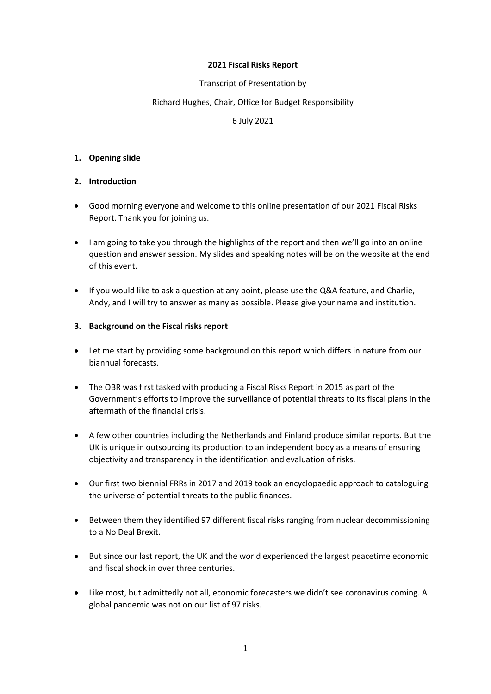#### **2021 Fiscal Risks Report**

## Transcript of Presentation by

### Richard Hughes, Chair, Office for Budget Responsibility

### 6 July 2021

#### **1. Opening slide**

### **2. Introduction**

- • Good morning everyone and welcome to this online presentation of our 2021 Fiscal Risks Report. Thank you for joining us.
- question and answer session. My slides and speaking notes will be on the website at the end • I am going to take you through the highlights of the report and then we'll go into an online of this event.
- If you would like to ask a question at any point, please use the Q&A feature, and Charlie, Andy, and I will try to answer as many as possible. Please give your name and institution.

### **3. Background on the Fiscal risks report**

- Let me start by providing some background on this report which differs in nature from our biannual forecasts.
- The OBR was first tasked with producing a Fiscal Risks Report in 2015 as part of the Government's efforts to improve the surveillance of potential threats to its fiscal plans in the aftermath of the financial crisis.
- • A few other countries including the Netherlands and Finland produce similar reports. But the UK is unique in outsourcing its production to an independent body as a means of ensuring objectivity and transparency in the identification and evaluation of risks.
- Our first two biennial FRRs in 2017 and 2019 took an encyclopaedic approach to cataloguing the universe of potential threats to the public finances.
- Between them they identified 97 different fiscal risks ranging from nuclear decommissioning to a No Deal Brexit.
- • But since our last report, the UK and the world experienced the largest peacetime economic and fiscal shock in over three centuries.
- Like most, but admittedly not all, economic forecasters we didn't see coronavirus coming. A global pandemic was not on our list of 97 risks.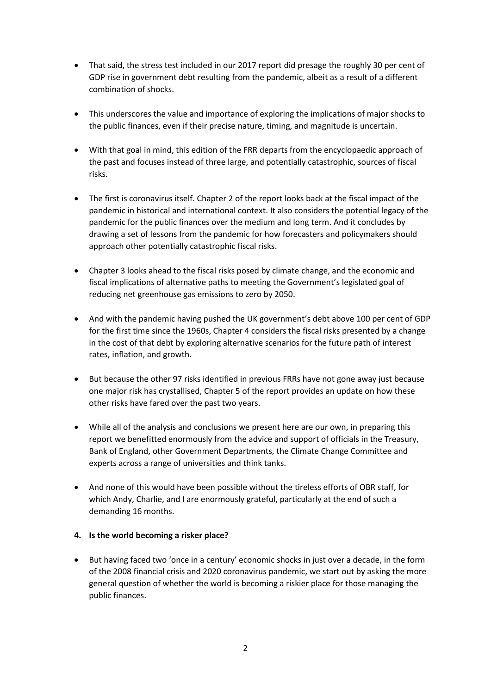- That said, the stress test included in our 2017 report did presage the roughly 30 per cent of GDP rise in government debt resulting from the pandemic, albeit as a result of a different combination of shocks.
- This underscores the value and importance of exploring the implications of major shocks to the public finances, even if their precise nature, timing, and magnitude is uncertain.
- With that goal in mind, this edition of the FRR departs from the encyclopaedic approach of the past and focuses instead of three large, and potentially catastrophic, sources of fiscal risks.
- pandemic in historical and international context. It also considers the potential legacy of the • The first is coronavirus itself. Chapter 2 of the report looks back at the fiscal impact of the pandemic for the public finances over the medium and long term. And it concludes by drawing a set of lessons from the pandemic for how forecasters and policymakers should approach other potentially catastrophic fiscal risks.
- Chapter 3 looks ahead to the fiscal risks posed by climate change, and the economic and fiscal implications of alternative paths to meeting the Government's legislated goal of reducing net greenhouse gas emissions to zero by 2050.
- rates, inflation, and growth. • And with the pandemic having pushed the UK government's debt above 100 per cent of GDP for the first time since the 1960s, Chapter 4 considers the fiscal risks presented by a change in the cost of that debt by exploring alternative scenarios for the future path of interest
- But because the other 97 risks identified in previous FRRs have not gone away just because one major risk has crystallised, Chapter 5 of the report provides an update on how these other risks have fared over the past two years.
- While all of the analysis and conclusions we present here are our own, in preparing this report we benefitted enormously from the advice and support of officials in the Treasury, Bank of England, other Government Departments, the Climate Change Committee and experts across a range of universities and think tanks.
- And none of this would have been possible without the tireless efforts of OBR staff, for which Andy, Charlie, and I are enormously grateful, particularly at the end of such a demanding 16 months.

## **4. Is the world becoming a risker place?**

• But having faced two 'once in a century' economic shocks in just over a decade, in the form of the 2008 financial crisis and 2020 coronavirus pandemic, we start out by asking the more general question of whether the world is becoming a riskier place for those managing the public finances.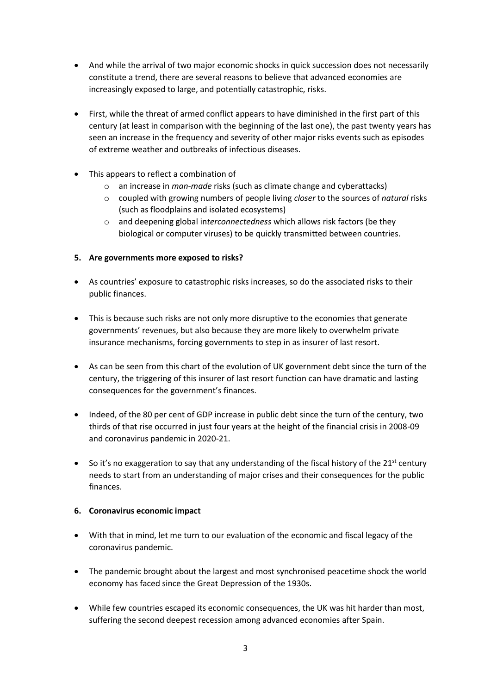- And while the arrival of two major economic shocks in quick succession does not necessarily constitute a trend, there are several reasons to believe that advanced economies are increasingly exposed to large, and potentially catastrophic, risks.
- First, while the threat of armed conflict appears to have diminished in the first part of this century (at least in comparison with the beginning of the last one), the past twenty years has seen an increase in the frequency and severity of other major risks events such as episodes of extreme weather and outbreaks of infectious diseases.
- This appears to reflect a combination of
	- o an increase in *man-made* risks (such as climate change and cyberattacks)
	- o coupled with growing numbers of people living *closer* to the sources of *natural* risks (such as floodplains and isolated ecosystems)
	- o and deepening global in*terconnectedness* which allows risk factors (be they biological or computer viruses) to be quickly transmitted between countries.

# **5. Are governments more exposed to risks?**

- • As countries' exposure to catastrophic risks increases, so do the associated risks to their public finances.
- This is because such risks are not only more disruptive to the economies that generate governments' revenues, but also because they are more likely to overwhelm private insurance mechanisms, forcing governments to step in as insurer of last resort.
- As can be seen from this chart of the evolution of UK government debt since the turn of the century, the triggering of this insurer of last resort function can have dramatic and lasting consequences for the government's finances.
- Indeed, of the 80 per cent of GDP increase in public debt since the turn of the century, two thirds of that rise occurred in just four years at the height of the financial crisis in 2008-09 and coronavirus pandemic in 2020-21.
- So it's no exaggeration to say that any understanding of the fiscal history of the  $21^{st}$  century needs to start from an understanding of major crises and their consequences for the public finances.

## **6. Coronavirus economic impact**

- With that in mind, let me turn to our evaluation of the economic and fiscal legacy of the coronavirus pandemic.
- The pandemic brought about the largest and most synchronised peacetime shock the world economy has faced since the Great Depression of the 1930s.
- While few countries escaped its economic consequences, the UK was hit harder than most, suffering the second deepest recession among advanced economies after Spain.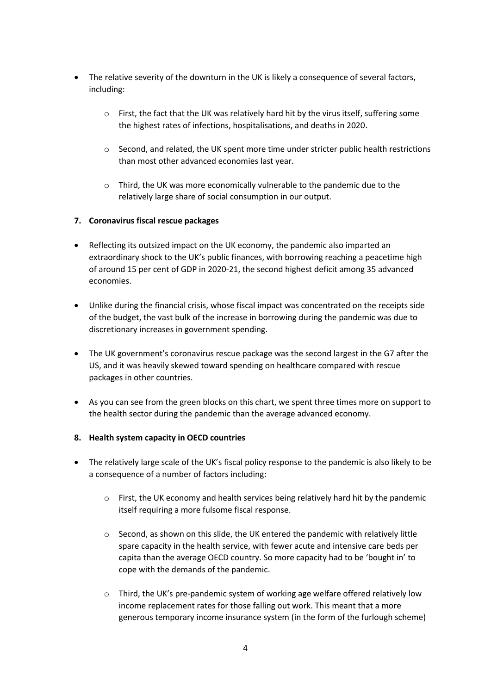- The relative severity of the downturn in the UK is likely a consequence of several factors, including:
	- $\circ$  First, the fact that the UK was relatively hard hit by the virus itself, suffering some the highest rates of infections, hospitalisations, and deaths in 2020.
	- $\circ$  Second, and related, the UK spent more time under stricter public health restrictions than most other advanced economies last year.
	- o Third, the UK was more economically vulnerable to the pandemic due to the relatively large share of social consumption in our output.

## **7. Coronavirus fiscal rescue packages**

- Reflecting its outsized impact on the UK economy, the pandemic also imparted an extraordinary shock to the UK's public finances, with borrowing reaching a peacetime high of around 15 per cent of GDP in 2020-21, the second highest deficit among 35 advanced economies.
- Unlike during the financial crisis, whose fiscal impact was concentrated on the receipts side of the budget, the vast bulk of the increase in borrowing during the pandemic was due to discretionary increases in government spending.
- The UK government's coronavirus rescue package was the second largest in the G7 after the US, and it was heavily skewed toward spending on healthcare compared with rescue packages in other countries.
- As you can see from the green blocks on this chart, we spent three times more on support to the health sector during the pandemic than the average advanced economy.

## **8. Health system capacity in OECD countries**

- The relatively large scale of the UK's fiscal policy response to the pandemic is also likely to be a consequence of a number of factors including:
	- o First, the UK economy and health services being relatively hard hit by the pandemic itself requiring a more fulsome fiscal response.
	- $\circ$  Second, as shown on this slide, the UK entered the pandemic with relatively little spare capacity in the health service, with fewer acute and intensive care beds per capita than the average OECD country. So more capacity had to be 'bought in' to cope with the demands of the pandemic.
	- $\circ$  Third, the UK's pre-pandemic system of working age welfare offered relatively low income replacement rates for those falling out work. This meant that a more generous temporary income insurance system (in the form of the furlough scheme)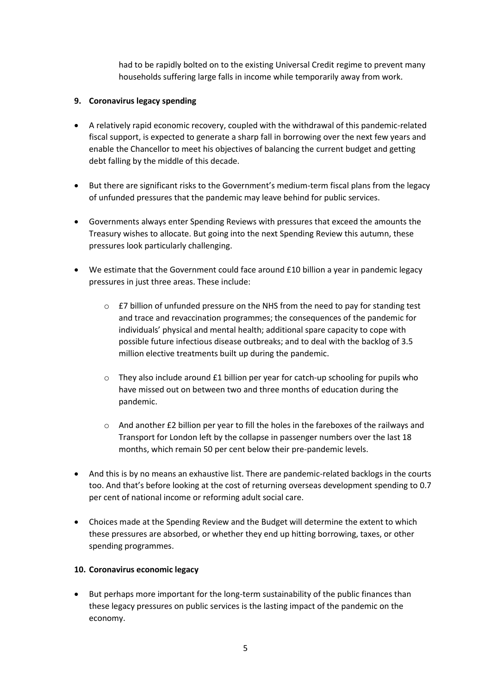had to be rapidly bolted on to the existing Universal Credit regime to prevent many households suffering large falls in income while temporarily away from work.

## **9. Coronavirus legacy spending**

- enable the Chancellor to meet his objectives of balancing the current budget and getting • A relatively rapid economic recovery, coupled with the withdrawal of this pandemic-related fiscal support, is expected to generate a sharp fall in borrowing over the next few years and debt falling by the middle of this decade.
- But there are significant risks to the Government's medium-term fiscal plans from the legacy of unfunded pressures that the pandemic may leave behind for public services.
- • Governments always enter Spending Reviews with pressures that exceed the amounts the Treasury wishes to allocate. But going into the next Spending Review this autumn, these pressures look particularly challenging.
- We estimate that the Government could face around £10 billion a year in pandemic legacy pressures in just three areas. These include:
	- individuals' physical and mental health; additional spare capacity to cope with  $\circ$  £7 billion of unfunded pressure on the NHS from the need to pay for standing test and trace and revaccination programmes; the consequences of the pandemic for possible future infectious disease outbreaks; and to deal with the backlog of 3.5 million elective treatments built up during the pandemic.
	- $\circ$  They also include around £1 billion per year for catch-up schooling for pupils who have missed out on between two and three months of education during the pandemic.
	- $\circ$  And another £2 billion per year to fill the holes in the fareboxes of the railways and Transport for London left by the collapse in passenger numbers over the last 18 months, which remain 50 per cent below their pre-pandemic levels.
- And this is by no means an exhaustive list. There are pandemic-related backlogs in the courts too. And that's before looking at the cost of returning overseas development spending to 0.7 per cent of national income or reforming adult social care.
- Choices made at the Spending Review and the Budget will determine the extent to which these pressures are absorbed, or whether they end up hitting borrowing, taxes, or other spending programmes.

## **10. Coronavirus economic legacy**

But perhaps more important for the long-term sustainability of the public finances than these legacy pressures on public services is the lasting impact of the pandemic on the economy.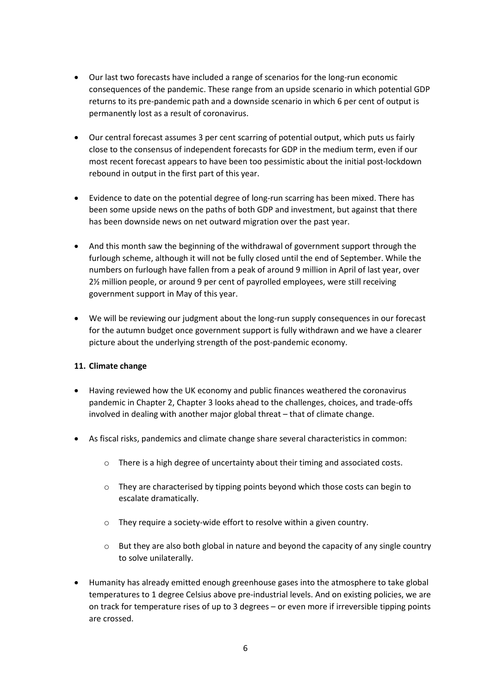- • Our last two forecasts have included a range of scenarios for the long-run economic consequences of the pandemic. These range from an upside scenario in which potential GDP returns to its pre-pandemic path and a downside scenario in which 6 per cent of output is permanently lost as a result of coronavirus.
- Our central forecast assumes 3 per cent scarring of potential output, which puts us fairly close to the consensus of independent forecasts for GDP in the medium term, even if our most recent forecast appears to have been too pessimistic about the initial post-lockdown rebound in output in the first part of this year.
- has been downside news on net outward migration over the past year. • Evidence to date on the potential degree of long-run scarring has been mixed. There has been some upside news on the paths of both GDP and investment, but against that there
- furlough scheme, although it will not be fully closed until the end of September. While the • And this month saw the beginning of the withdrawal of government support through the numbers on furlough have fallen from a peak of around 9 million in April of last year, over 2½ million people, or around 9 per cent of payrolled employees, were still receiving government support in May of this year.
- We will be reviewing our judgment about the long-run supply consequences in our forecast for the autumn budget once government support is fully withdrawn and we have a clearer picture about the underlying strength of the post-pandemic economy.

## **11. Climate change**

- pandemic in Chapter 2, Chapter 3 looks ahead to the challenges, choices, and trade-offs Having reviewed how the UK economy and public finances weathered the coronavirus involved in dealing with another major global threat – that of climate change.
- • As fiscal risks, pandemics and climate change share several characteristics in common:
	- $\circ$  There is a high degree of uncertainty about their timing and associated costs.
	- $\circ$  They are characterised by tipping points beyond which those costs can begin to escalate dramatically.
	- $\circ$  They require a society-wide effort to resolve within a given country.
	- $\circ$  But they are also both global in nature and beyond the capacity of any single country to solve unilaterally.
- • Humanity has already emitted enough greenhouse gases into the atmosphere to take global temperatures to 1 degree Celsius above pre-industrial levels. And on existing policies, we are on track for temperature rises of up to 3 degrees – or even more if irreversible tipping points are crossed.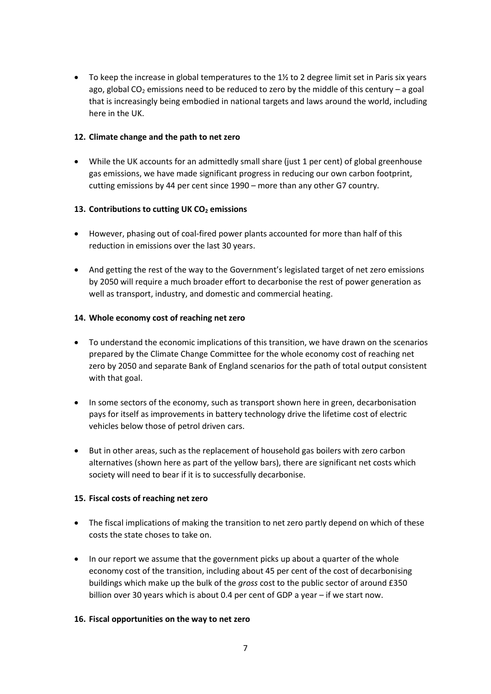• To keep the increase in global temperatures to the  $1\frac{1}{2}$  to 2 degree limit set in Paris six years ago, global  $CO<sub>2</sub>$  emissions need to be reduced to zero by the middle of this century – a goal that is increasingly being embodied in national targets and laws around the world, including here in the UK.

#### **12. Climate change and the path to net zero**

• While the UK accounts for an admittedly small share (just 1 per cent) of global greenhouse gas emissions, we have made significant progress in reducing our own carbon footprint, cutting emissions by 44 per cent since 1990 – more than any other G7 country.

## 13. Contributions to cutting UK CO<sub>2</sub> emissions

- However, phasing out of coal-fired power plants accounted for more than half of this reduction in emissions over the last 30 years.
- And getting the rest of the way to the Government's legislated target of net zero emissions by 2050 will require a much broader effort to decarbonise the rest of power generation as well as transport, industry, and domestic and commercial heating.

### **14. Whole economy cost of reaching net zero**

- To understand the economic implications of this transition, we have drawn on the scenarios prepared by the Climate Change Committee for the whole economy cost of reaching net zero by 2050 and separate Bank of England scenarios for the path of total output consistent with that goal.
- pays for itself as improvements in battery technology drive the lifetime cost of electric • In some sectors of the economy, such as transport shown here in green, decarbonisation vehicles below those of petrol driven cars.
- But in other areas, such as the replacement of household gas boilers with zero carbon alternatives (shown here as part of the yellow bars), there are significant net costs which society will need to bear if it is to successfully decarbonise.

## **15. Fiscal costs of reaching net zero**

- The fiscal implications of making the transition to net zero partly depend on which of these costs the state choses to take on.
- buildings which make up the bulk of the *gross* cost to the public sector of around £350 • In our report we assume that the government picks up about a quarter of the whole economy cost of the transition, including about 45 per cent of the cost of decarbonising billion over 30 years which is about 0.4 per cent of GDP a year – if we start now.

## **16. Fiscal opportunities on the way to net zero**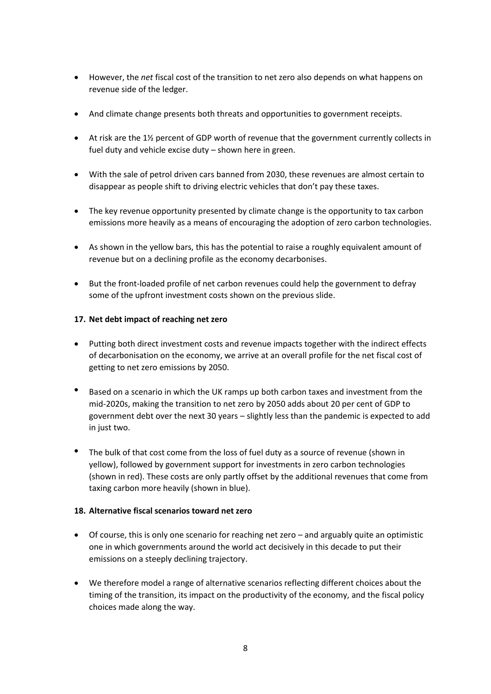- • However, the *net* fiscal cost of the transition to net zero also depends on what happens on revenue side of the ledger.
- And climate change presents both threats and opportunities to government receipts.
- At risk are the 1½ percent of GDP worth of revenue that the government currently collects in fuel duty and vehicle excise duty – shown here in green.
- With the sale of petrol driven cars banned from 2030, these revenues are almost certain to disappear as people shift to driving electric vehicles that don't pay these taxes.
- The key revenue opportunity presented by climate change is the opportunity to tax carbon emissions more heavily as a means of encouraging the adoption of zero carbon technologies.
- As shown in the yellow bars, this has the potential to raise a roughly equivalent amount of revenue but on a declining profile as the economy decarbonises.
- But the front-loaded profile of net carbon revenues could help the government to defray some of the upfront investment costs shown on the previous slide.

## **17. Net debt impact of reaching net zero**

- of decarbonisation on the economy, we arrive at an overall profile for the net fiscal cost of • Putting both direct investment costs and revenue impacts together with the indirect effects getting to net zero emissions by 2050.
- Based on a scenario in which the UK ramps up both carbon taxes and investment from the mid-2020s, making the transition to net zero by 2050 adds about 20 per cent of GDP to government debt over the next 30 years – slightly less than the pandemic is expected to add in just two.
- The bulk of that cost come from the loss of fuel duty as a source of revenue (shown in yellow), followed by government support for investments in zero carbon technologies (shown in red). These costs are only partly offset by the additional revenues that come from taxing carbon more heavily (shown in blue).

## **18. Alternative fiscal scenarios toward net zero**

- Of course, this is only one scenario for reaching net zero and arguably quite an optimistic one in which governments around the world act decisively in this decade to put their emissions on a steeply declining trajectory.
- • We therefore model a range of alternative scenarios reflecting different choices about the timing of the transition, its impact on the productivity of the economy, and the fiscal policy choices made along the way.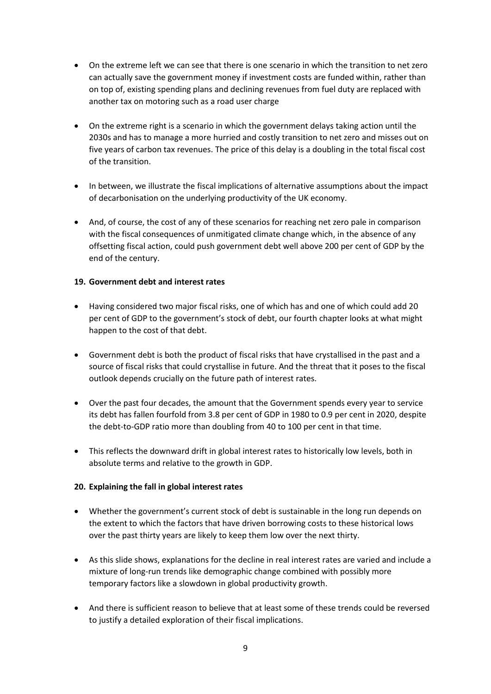- another tax on motoring such as a road user charge • On the extreme left we can see that there is one scenario in which the transition to net zero can actually save the government money if investment costs are funded within, rather than on top of, existing spending plans and declining revenues from fuel duty are replaced with
- On the extreme right is a scenario in which the government delays taking action until the 2030s and has to manage a more hurried and costly transition to net zero and misses out on five years of carbon tax revenues. The price of this delay is a doubling in the total fiscal cost of the transition.
- of decarbonisation on the underlying productivity of the UK economy. • In between, we illustrate the fiscal implications of alternative assumptions about the impact
- And, of course, the cost of any of these scenarios for reaching net zero pale in comparison with the fiscal consequences of unmitigated climate change which, in the absence of any offsetting fiscal action, could push government debt well above 200 per cent of GDP by the end of the century.

### **19. Government debt and interest rates**

- • Having considered two major fiscal risks, one of which has and one of which could add 20 per cent of GDP to the government's stock of debt, our fourth chapter looks at what might happen to the cost of that debt.
- source of fiscal risks that could crystallise in future. And the threat that it poses to the fiscal • Government debt is both the product of fiscal risks that have crystallised in the past and a outlook depends crucially on the future path of interest rates.
- Over the past four decades, the amount that the Government spends every year to service its debt has fallen fourfold from 3.8 per cent of GDP in 1980 to 0.9 per cent in 2020, despite the debt-to-GDP ratio more than doubling from 40 to 100 per cent in that time.
- This reflects the downward drift in global interest rates to historically low levels, both in absolute terms and relative to the growth in GDP.

#### **20. Explaining the fall in global interest rates**

- Whether the government's current stock of debt is sustainable in the long run depends on the extent to which the factors that have driven borrowing costs to these historical lows over the past thirty years are likely to keep them low over the next thirty.
- • As this slide shows, explanations for the decline in real interest rates are varied and include a mixture of long-run trends like demographic change combined with possibly more temporary factors like a slowdown in global productivity growth.
- And there is sufficient reason to believe that at least some of these trends could be reversed to justify a detailed exploration of their fiscal implications.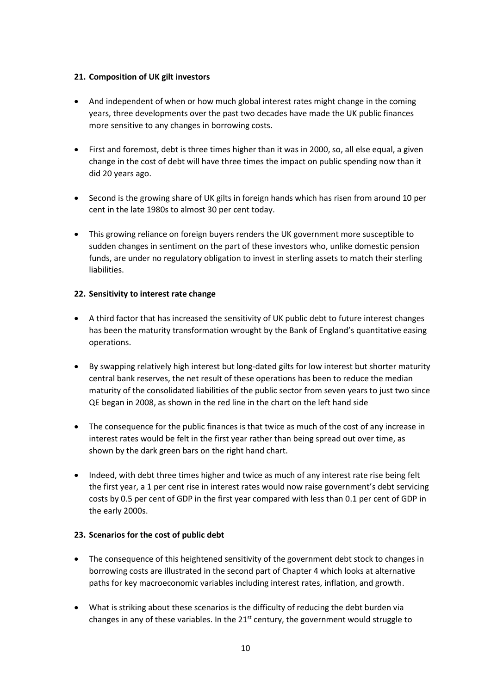### **21. Composition of UK gilt investors**

- And independent of when or how much global interest rates might change in the coming years, three developments over the past two decades have made the UK public finances more sensitive to any changes in borrowing costs.
- First and foremost, debt is three times higher than it was in 2000, so, all else equal, a given change in the cost of debt will have three times the impact on public spending now than it did 20 years ago.
- Second is the growing share of UK gilts in foreign hands which has risen from around 10 per cent in the late 1980s to almost 30 per cent today.
- This growing reliance on foreign buyers renders the UK government more susceptible to sudden changes in sentiment on the part of these investors who, unlike domestic pension funds, are under no regulatory obligation to invest in sterling assets to match their sterling liabilities.

### **22. Sensitivity to interest rate change**

- • A third factor that has increased the sensitivity of UK public debt to future interest changes has been the maturity transformation wrought by the Bank of England's quantitative easing operations.
- • By swapping relatively high interest but long-dated gilts for low interest but shorter maturity central bank reserves, the net result of these operations has been to reduce the median maturity of the consolidated liabilities of the public sector from seven years to just two since QE began in 2008, as shown in the red line in the chart on the left hand side
- The consequence for the public finances is that twice as much of the cost of any increase in interest rates would be felt in the first year rather than being spread out over time, as shown by the dark green bars on the right hand chart.
- Indeed, with debt three times higher and twice as much of any interest rate rise being felt the first year, a 1 per cent rise in interest rates would now raise government's debt servicing costs by 0.5 per cent of GDP in the first year compared with less than 0.1 per cent of GDP in the early 2000s.

#### **23. Scenarios for the cost of public debt**

- The consequence of this heightened sensitivity of the government debt stock to changes in borrowing costs are illustrated in the second part of Chapter 4 which looks at alternative paths for key macroeconomic variables including interest rates, inflation, and growth.
- What is striking about these scenarios is the difficulty of reducing the debt burden via changes in any of these variables. In the  $21^{st}$  century, the government would struggle to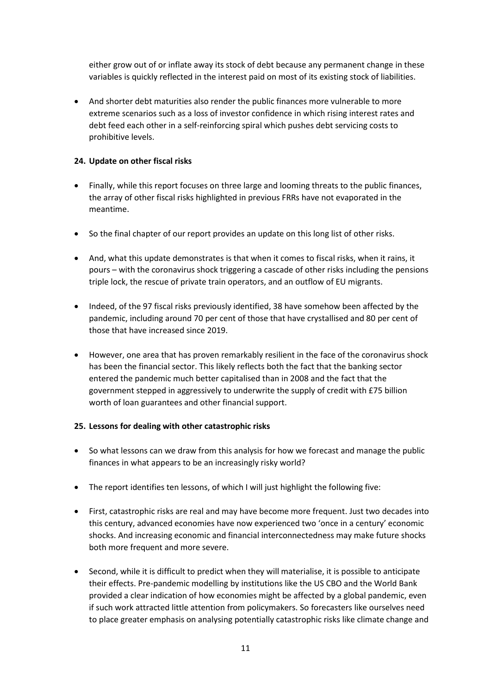either grow out of or inflate away its stock of debt because any permanent change in these variables is quickly reflected in the interest paid on most of its existing stock of liabilities.

 debt feed each other in a self-reinforcing spiral which pushes debt servicing costs to • And shorter debt maturities also render the public finances more vulnerable to more extreme scenarios such as a loss of investor confidence in which rising interest rates and prohibitive levels.

### **24. Update on other fiscal risks**

- Finally, while this report focuses on three large and looming threats to the public finances, the array of other fiscal risks highlighted in previous FRRs have not evaporated in the meantime.
- So the final chapter of our report provides an update on this long list of other risks.
- triple lock, the rescue of private train operators, and an outflow of EU migrants. • And, what this update demonstrates is that when it comes to fiscal risks, when it rains, it pours – with the coronavirus shock triggering a cascade of other risks including the pensions
- Indeed, of the 97 fiscal risks previously identified, 38 have somehow been affected by the pandemic, including around 70 per cent of those that have crystallised and 80 per cent of those that have increased since 2019.
- • However, one area that has proven remarkably resilient in the face of the coronavirus shock has been the financial sector. This likely reflects both the fact that the banking sector entered the pandemic much better capitalised than in 2008 and the fact that the government stepped in aggressively to underwrite the supply of credit with £75 billion worth of loan guarantees and other financial support.

## **25. Lessons for dealing with other catastrophic risks**

- So what lessons can we draw from this analysis for how we forecast and manage the public finances in what appears to be an increasingly risky world?
- The report identifies ten lessons, of which I will just highlight the following five:
- First, catastrophic risks are real and may have become more frequent. Just two decades into this century, advanced economies have now experienced two 'once in a century' economic shocks. And increasing economic and financial interconnectedness may make future shocks both more frequent and more severe.
- • Second, while it is difficult to predict when they will materialise, it is possible to anticipate their effects. Pre-pandemic modelling by institutions like the US CBO and the World Bank provided a clear indication of how economies might be affected by a global pandemic, even if such work attracted little attention from policymakers. So forecasters like ourselves need to place greater emphasis on analysing potentially catastrophic risks like climate change and